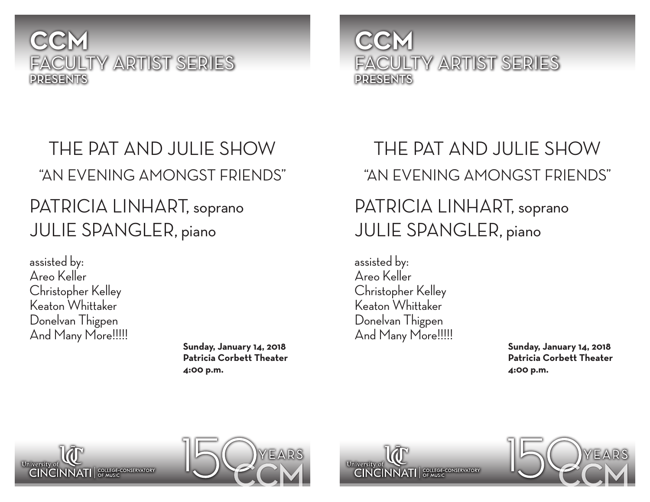### **CCM** FACULTY ARTIST SERIES PRESENTS

## THE PAT AND JULIE SHOW "AN EVENING AMONGST FRIENDS" PATRICIA LINHART, soprano JULIE SPANGLER, piano

assisted by: Areo Keller Christopher Kelley Keaton Whittaker Donelvan Thigpen And Many More!!!!!

**Sunday, January 14, 2018 Patricia Corbett Theater 4:00 p.m.**

## **CCM** FACULTY ARTIST SERIES PRESENTS

# THE PAT AND JULIE SHOW "AN EVENING AMONGST FRIENDS"

## PATRICIA LINHART, soprano JULIE SPANGLER, piano

assisted by: Areo Keller Christopher Kelley Keaton Whittaker Donelvan Thigpen And Many More!!!!!

**Sunday, January 14, 2018 Patricia Corbett Theater 4:00 p.m.**